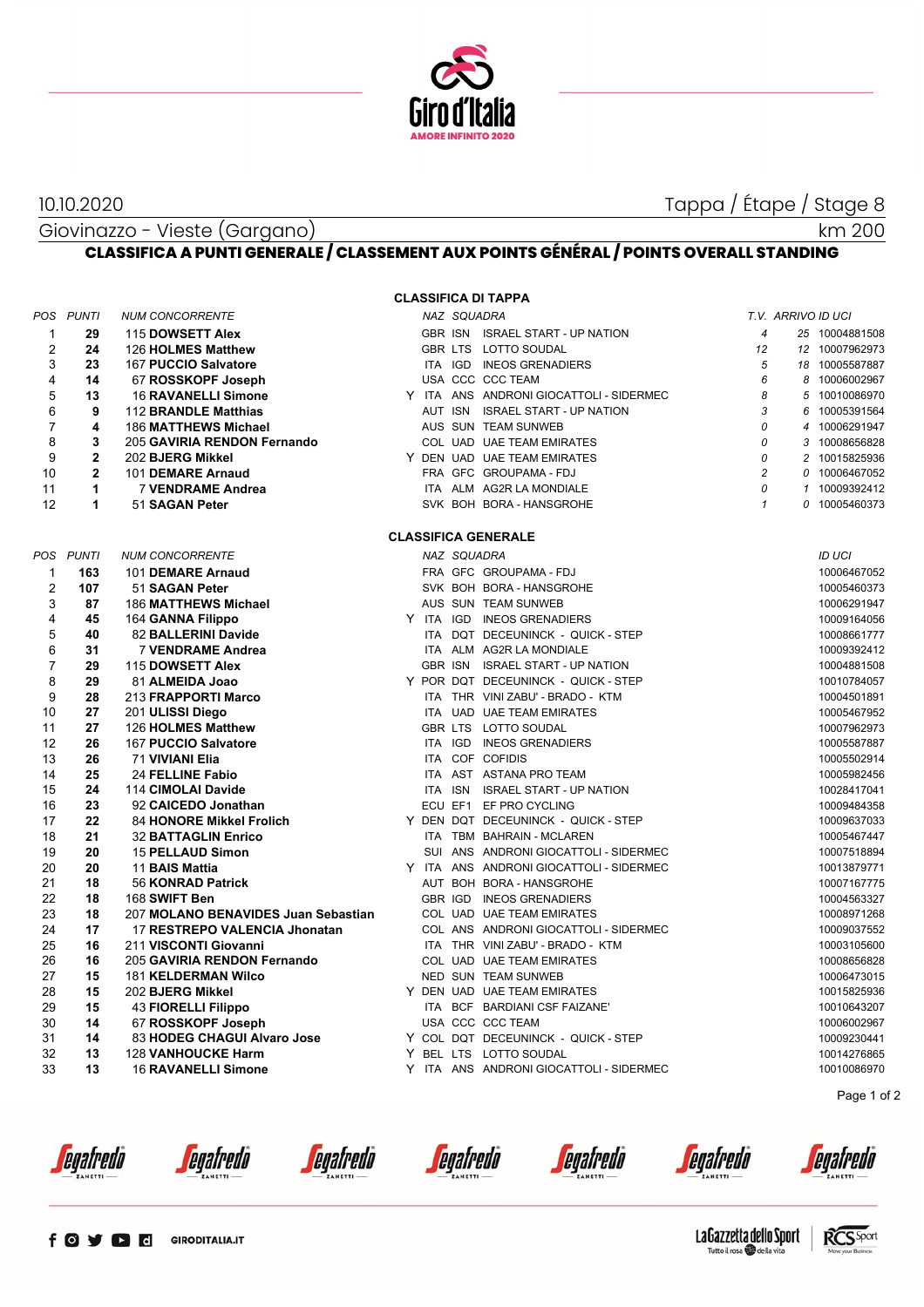

10.10.2020 Tappa / Étape / Stage 8

km 200

Giovinazzo - Vieste (Gargano) **CLASSIFICA A PUNTI GENERALE / CLASSEMENT AUX POINTS GÉNÉRAL / POINTS OVERALL STANDING**

## **CLASSIFICA DI TAPPA**

|                | POS PUNTI      | <b>NUM CONCORRENTE</b>              |  |  | NAZ SQUADRA |                                         |                | T.V. ARRIVO ID UCI |                |  |  |
|----------------|----------------|-------------------------------------|--|--|-------------|-----------------------------------------|----------------|--------------------|----------------|--|--|
| $\mathbf{1}$   | 29             | 115 DOWSETT Alex                    |  |  |             | GBR ISN ISRAEL START - UP NATION        | $\overline{4}$ |                    | 25 10004881508 |  |  |
| $\overline{2}$ | 24             | 126 HOLMES Matthew                  |  |  |             | GBR LTS LOTTO SOUDAL                    | 12             |                    | 12 10007962973 |  |  |
| 3              | 23             | 167 PUCCIO Salvatore                |  |  |             | ITA IGD INEOS GRENADIERS                | 5              |                    | 18 10005587887 |  |  |
| 4              | 14             | 67 ROSSKOPF Joseph                  |  |  |             | USA CCC CCC TEAM                        | 6              |                    | 8 10006002967  |  |  |
| 5              | 13             | <b>16 RAVANELLI Simone</b>          |  |  |             | Y ITA ANS ANDRONI GIOCATTOLI - SIDERMEC | 8              | 5                  | 10010086970    |  |  |
| 6              | 9              | 112 BRANDLE Matthias                |  |  |             | AUT ISN ISRAEL START - UP NATION        | 3              |                    | 6 10005391564  |  |  |
| $\overline{7}$ | 4              | 186 MATTHEWS Michael                |  |  |             | AUS SUN TEAM SUNWEB                     | 0              | 4                  | 10006291947    |  |  |
| 8              | 3              | 205 GAVIRIA RENDON Fernando         |  |  |             | COL UAD UAE TEAM EMIRATES               | 0              |                    | 3 10008656828  |  |  |
| 9              | $\overline{2}$ | 202 BJERG Mikkel                    |  |  |             | Y DEN UAD UAE TEAM EMIRATES             | 0              | $\overline{c}$     | 10015825936    |  |  |
| 10             | $\overline{2}$ | 101 DEMARE Arnaud                   |  |  |             | FRA GFC GROUPAMA - FDJ                  | $\overline{c}$ |                    | 0 10006467052  |  |  |
| 11             | 1              | <b>7 VENDRAME Andrea</b>            |  |  |             | ITA ALM AG2R LA MONDIALE                | 0              |                    | 1 10009392412  |  |  |
| 12             | 1              | 51 SAGAN Peter                      |  |  |             | SVK BOH BORA - HANSGROHE                | $\mathbf{1}$   |                    | 0 10005460373  |  |  |
|                |                |                                     |  |  |             |                                         |                |                    |                |  |  |
|                |                |                                     |  |  |             | <b>CLASSIFICA GENERALE</b>              |                |                    |                |  |  |
| POS            | <b>PUNTI</b>   | <b>NUM CONCORRENTE</b>              |  |  | NAZ SQUADRA |                                         |                |                    | ID UCI         |  |  |
| $\mathbf{1}$   | 163            | 101 DEMARE Arnaud                   |  |  |             | FRA GFC GROUPAMA-FDJ                    |                |                    | 10006467052    |  |  |
| $\overline{2}$ | 107            | 51 SAGAN Peter                      |  |  |             | SVK BOH BORA - HANSGROHE                |                |                    | 10005460373    |  |  |
| 3              | 87             | <b>186 MATTHEWS Michael</b>         |  |  |             | AUS SUN TEAM SUNWEB                     |                |                    | 10006291947    |  |  |
| 4              | 45             | 164 GANNA Filippo                   |  |  |             | Y ITA IGD INEOS GRENADIERS              |                |                    | 10009164056    |  |  |
| 5              | 40             | 82 BALLERINI Davide                 |  |  |             | ITA DQT DECEUNINCK - QUICK - STEP       |                |                    | 10008661777    |  |  |
| 6              | 31             | 7 VENDRAME Andrea                   |  |  |             | ITA ALM AG2R LA MONDIALE                |                |                    | 10009392412    |  |  |
| $\overline{7}$ | 29             | 115 DOWSETT Alex                    |  |  |             | GBR ISN ISRAEL START - UP NATION        |                |                    | 10004881508    |  |  |
| 8              | 29             | 81 ALMEIDA Joao                     |  |  |             | Y POR DQT DECEUNINCK - QUICK - STEP     |                |                    | 10010784057    |  |  |
| 9              | 28             | 213 FRAPPORTI Marco                 |  |  |             | ITA THR VINI ZABU' - BRADO - KTM        |                |                    | 10004501891    |  |  |
| 10             | 27             | 201 ULISSI Diego                    |  |  |             | ITA UAD UAE TEAM EMIRATES               |                |                    | 10005467952    |  |  |
| 11             | 27             | 126 HOLMES Matthew                  |  |  |             | GBR LTS LOTTO SOUDAL                    |                |                    | 10007962973    |  |  |
| 12             | 26             | 167 PUCCIO Salvatore                |  |  |             | ITA IGD INEOS GRENADIERS                |                |                    | 10005587887    |  |  |
| 13             | 26             | 71 VIVIANI Elia                     |  |  |             | ITA COF COFIDIS                         |                |                    | 10005502914    |  |  |
| 14             | 25             | 24 FELLINE Fabio                    |  |  |             | ITA AST ASTANA PRO TEAM                 |                |                    | 10005982456    |  |  |
| 15             | 24             | 114 CIMOLAI Davide                  |  |  |             | ITA ISN ISRAEL START - UP NATION        |                |                    | 10028417041    |  |  |
| 16             | 23             | 92 CAICEDO Jonathan                 |  |  |             | ECU EF1 EF PRO CYCLING                  |                |                    | 10009484358    |  |  |
| 17             | 22             | 84 HONORE Mikkel Frolich            |  |  |             | Y DEN DQT DECEUNINCK - QUICK - STEP     |                |                    | 10009637033    |  |  |
| 18             | 21             | <b>32 BATTAGLIN Enrico</b>          |  |  |             | ITA TBM BAHRAIN - MCLAREN               |                |                    | 10005467447    |  |  |
| 19             | 20             | <b>15 PELLAUD Simon</b>             |  |  |             | SUI ANS ANDRONI GIOCATTOLI - SIDERMEC   |                |                    | 10007518894    |  |  |
| 20             | 20             | 11 BAIS Mattia                      |  |  |             | Y ITA ANS ANDRONI GIOCATTOLI - SIDERMEC |                |                    | 10013879771    |  |  |
| 21             | 18             | 56 KONRAD Patrick                   |  |  |             | AUT BOH BORA - HANSGROHE                |                |                    | 10007167775    |  |  |
| 22             | 18             | 168 SWIFT Ben                       |  |  |             | GBR IGD INEOS GRENADIERS                |                |                    | 10004563327    |  |  |
| 23             | 18             | 207 MOLANO BENAVIDES Juan Sebastian |  |  |             | COL UAD UAE TEAM EMIRATES               |                |                    | 10008971268    |  |  |
| 24             | 17             | 17 RESTREPO VALENCIA Jhonatan       |  |  |             | COL ANS ANDRONI GIOCATTOLI - SIDERMEC   |                |                    | 10009037552    |  |  |
| 25             | 16             | 211 VISCONTI Giovanni               |  |  |             | ITA THR VINI ZABU' - BRADO - KTM        |                |                    | 10003105600    |  |  |
| 26             | 16             | 205 GAVIRIA RENDON Fernando         |  |  |             | COL UAD UAE TEAM EMIRATES               |                |                    | 10008656828    |  |  |
| 27             | 15             | <b>181 KELDERMAN Wilco</b>          |  |  |             | NED SUN TEAM SUNWEB                     |                |                    | 10006473015    |  |  |
| 28             | 15             | 202 BJERG Mikkel                    |  |  |             | Y DEN UAD UAE TEAM EMIRATES             |                |                    | 10015825936    |  |  |
| 29             | 15             | 43 FIORELLI Filippo                 |  |  |             | ITA BCF BARDIANI CSF FAIZANE'           |                |                    | 10010643207    |  |  |
| 30             | 14             | 67 ROSSKOPF Joseph                  |  |  |             | USA CCC CCC TEAM                        |                |                    | 10006002967    |  |  |
| 31             | 14             | 83 HODEG CHAGUI Alvaro Jose         |  |  |             | Y COL DQT DECEUNINCK - QUICK - STEP     |                |                    | 10009230441    |  |  |
| 32             | 13             | 128 VANHOUCKE Harm                  |  |  |             | Y BEL LTS LOTTO SOUDAL                  |                |                    | 10014276865    |  |  |
| 33             | 13             | <b>16 RAVANELLI Simone</b>          |  |  |             | Y ITA ANS ANDRONI GIOCATTOLI - SIDERMEC |                |                    | 10010086970    |  |  |

Page 1 of 2

*<u>egafredo</u>* 

*<u>egafredò</u>* 

*<u>egafredo</u>* 

*<u>egafredo</u>* 

*<u>egafredò</u>* 

*<u>egafredò</u>*